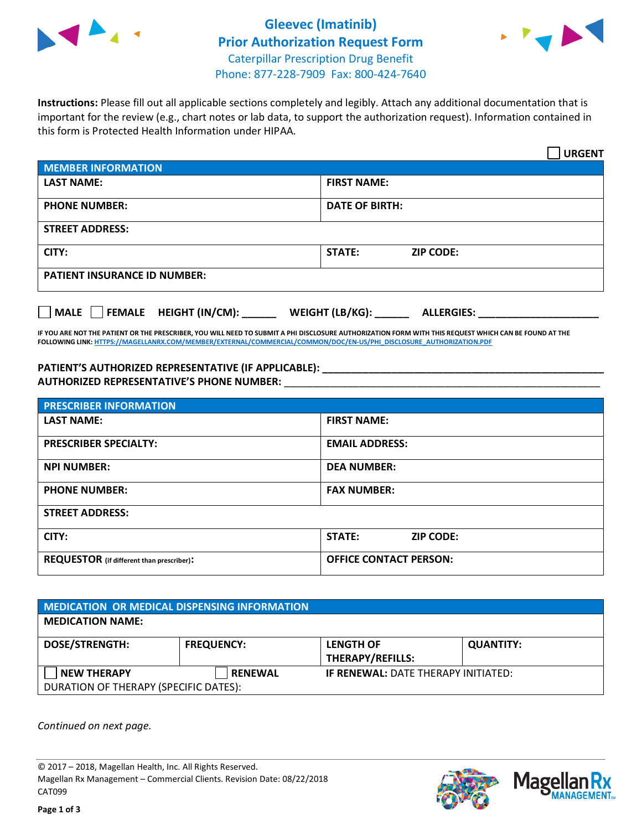

## **Gleevec (Imatinib) Prior Authorization Request Form** Caterpillar Prescription Drug Benefit Phone: 877-228-7909 Fax: 800-424-7640



**Instructions:** Please fill out all applicable sections completely and legibly. Attach any additional documentation that is important for the review (e.g., chart notes or lab data, to support the authorization request). Information contained in this form is Protected Health Information under HIPAA.

|                                     | <b>URGENT</b>                        |  |  |  |
|-------------------------------------|--------------------------------------|--|--|--|
| <b>MEMBER INFORMATION</b>           |                                      |  |  |  |
| <b>LAST NAME:</b>                   | <b>FIRST NAME:</b>                   |  |  |  |
| <b>PHONE NUMBER:</b>                | <b>DATE OF BIRTH:</b>                |  |  |  |
| <b>STREET ADDRESS:</b>              |                                      |  |  |  |
| CITY:                               | <b>ZIP CODE:</b><br>STATE:           |  |  |  |
| <b>PATIENT INSURANCE ID NUMBER:</b> |                                      |  |  |  |
| FEMALE HEIGHT (IN/CM):<br>    MALE  | WEIGHT (LB/KG):<br><b>ALLERGIES:</b> |  |  |  |

**IF YOU ARE NOT THE PATIENT OR THE PRESCRIBER, YOU WILL NEED TO SUBMIT A PHI DISCLOSURE AUTHORIZATION FORM WITH THIS REQUEST WHICH CAN BE FOUND AT THE FOLLOWING LINK[: HTTPS://MAGELLANRX.COM/MEMBER/EXTERNAL/COMMERCIAL/COMMON/DOC/EN-US/PHI\\_DISCLOSURE\\_AUTHORIZATION.PDF](https://magellanrx.com/member/external/commercial/common/doc/en-us/PHI_Disclosure_Authorization.pdf)**

**PATIENT'S AUTHORIZED REPRESENTATIVE (IF APPLICABLE): \_\_\_\_\_\_\_\_\_\_\_\_\_\_\_\_\_\_\_\_\_\_\_\_\_\_\_\_\_\_\_\_\_\_\_\_\_\_\_\_\_\_\_\_\_\_\_\_\_ AUTHORIZED REPRESENTATIVE'S PHONE NUMBER:** \_\_\_\_\_\_\_\_\_\_\_\_\_\_\_\_\_\_\_\_\_\_\_\_\_\_\_\_\_\_\_\_\_\_\_\_\_\_\_\_\_\_\_\_\_\_\_\_\_\_\_\_\_\_\_

| <b>PRESCRIBER INFORMATION</b>             |                               |  |  |  |
|-------------------------------------------|-------------------------------|--|--|--|
| <b>LAST NAME:</b>                         | <b>FIRST NAME:</b>            |  |  |  |
| <b>PRESCRIBER SPECIALTY:</b>              | <b>EMAIL ADDRESS:</b>         |  |  |  |
| <b>NPI NUMBER:</b>                        | <b>DEA NUMBER:</b>            |  |  |  |
| <b>PHONE NUMBER:</b>                      | <b>FAX NUMBER:</b>            |  |  |  |
| <b>STREET ADDRESS:</b>                    |                               |  |  |  |
| CITY:                                     | STATE:<br><b>ZIP CODE:</b>    |  |  |  |
| REQUESTOR (if different than prescriber): | <b>OFFICE CONTACT PERSON:</b> |  |  |  |

| <b>MEDICATION OR MEDICAL DISPENSING INFORMATION</b> |                   |                                             |                  |  |  |
|-----------------------------------------------------|-------------------|---------------------------------------------|------------------|--|--|
| <b>MEDICATION NAME:</b>                             |                   |                                             |                  |  |  |
| <b>DOSE/STRENGTH:</b>                               | <b>FREQUENCY:</b> | <b>LENGTH OF</b><br><b>THERAPY/REFILLS:</b> | <b>QUANTITY:</b> |  |  |
| <b>NEW THERAPY</b>                                  | <b>RENEWAL</b>    | <b>IF RENEWAL: DATE THERAPY INITIATED:</b>  |                  |  |  |
| DURATION OF THERAPY (SPECIFIC DATES):               |                   |                                             |                  |  |  |

*Continued on next page.*

© 2017 – 2018, Magellan Health, Inc. All Rights Reserved. Magellan Rx Management – Commercial Clients. Revision Date: 08/22/2018 CAT099



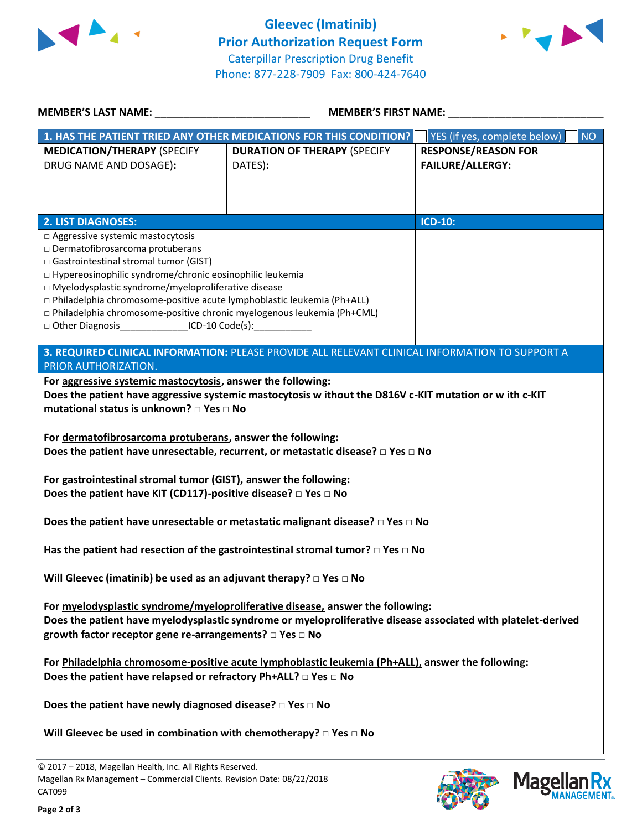



| <b>MEMBER'S LAST NAME:</b> NAME                                                                                                                                                                                                                                                                                                                                                                                                                                                                                                                                                                                                                                                                                                                                                                                                                                                                                                                                                                                                                                                                                         | <b>MEMBER'S FIRST NAME:</b>                                                                     |                                                       |  |  |
|-------------------------------------------------------------------------------------------------------------------------------------------------------------------------------------------------------------------------------------------------------------------------------------------------------------------------------------------------------------------------------------------------------------------------------------------------------------------------------------------------------------------------------------------------------------------------------------------------------------------------------------------------------------------------------------------------------------------------------------------------------------------------------------------------------------------------------------------------------------------------------------------------------------------------------------------------------------------------------------------------------------------------------------------------------------------------------------------------------------------------|-------------------------------------------------------------------------------------------------|-------------------------------------------------------|--|--|
|                                                                                                                                                                                                                                                                                                                                                                                                                                                                                                                                                                                                                                                                                                                                                                                                                                                                                                                                                                                                                                                                                                                         | 1. HAS THE PATIENT TRIED ANY OTHER MEDICATIONS FOR THIS CONDITION?                              | <b>NO</b><br>YES (if yes, complete below)             |  |  |
| <b>MEDICATION/THERAPY (SPECIFY</b><br>DRUG NAME AND DOSAGE):                                                                                                                                                                                                                                                                                                                                                                                                                                                                                                                                                                                                                                                                                                                                                                                                                                                                                                                                                                                                                                                            | <b>DURATION OF THERAPY (SPECIFY</b><br>DATES):                                                  | <b>RESPONSE/REASON FOR</b><br><b>FAILURE/ALLERGY:</b> |  |  |
| <b>2. LIST DIAGNOSES:</b>                                                                                                                                                                                                                                                                                                                                                                                                                                                                                                                                                                                                                                                                                                                                                                                                                                                                                                                                                                                                                                                                                               |                                                                                                 | <b>ICD-10:</b>                                        |  |  |
| □ Aggressive systemic mastocytosis<br>□ Dermatofibrosarcoma protuberans<br>□ Gastrointestinal stromal tumor (GIST)<br>□ Hypereosinophilic syndrome/chronic eosinophilic leukemia<br>□ Myelodysplastic syndrome/myeloproliferative disease<br>□ Philadelphia chromosome-positive acute lymphoblastic leukemia (Ph+ALL)<br>□ Philadelphia chromosome-positive chronic myelogenous leukemia (Ph+CML)<br>□ Other Diagnosis________________ICD-10 Code(s):____________                                                                                                                                                                                                                                                                                                                                                                                                                                                                                                                                                                                                                                                       |                                                                                                 |                                                       |  |  |
|                                                                                                                                                                                                                                                                                                                                                                                                                                                                                                                                                                                                                                                                                                                                                                                                                                                                                                                                                                                                                                                                                                                         | 3. REQUIRED CLINICAL INFORMATION: PLEASE PROVIDE ALL RELEVANT CLINICAL INFORMATION TO SUPPORT A |                                                       |  |  |
| PRIOR AUTHORIZATION.<br>For aggressive systemic mastocytosis, answer the following:<br>Does the patient have aggressive systemic mastocytosis w ithout the D816V c-KIT mutation or w ith c-KIT<br>mutational status is unknown? $\sqcap$ Yes $\sqcap$ No<br>For dermatofibrosarcoma protuberans, answer the following:<br>Does the patient have unresectable, recurrent, or metastatic disease? □ Yes □ No<br>For gastrointestinal stromal tumor (GIST), answer the following:<br>Does the patient have KIT (CD117)-positive disease? $\Box$ Yes $\Box$ No<br>Does the patient have unresectable or metastatic malignant disease? $\Box$ Yes $\Box$ No<br>Has the patient had resection of the gastrointestinal stromal tumor? $\Box$ Yes $\Box$ No<br>Will Gleevec (imatinib) be used as an adjuvant therapy? $\square$ Yes $\square$ No<br>For myelodysplastic syndrome/myeloproliferative disease, answer the following:<br>Does the patient have myelodysplastic syndrome or myeloproliferative disease associated with platelet-derived<br>growth factor receptor gene re-arrangements? $\square$ Yes $\square$ No |                                                                                                 |                                                       |  |  |
| For Philadelphia chromosome-positive acute lymphoblastic leukemia (Ph+ALL), answer the following:<br>Does the patient have relapsed or refractory Ph+ALL? □ Yes □ No<br>Does the patient have newly diagnosed disease? $\square$ Yes $\square$ No                                                                                                                                                                                                                                                                                                                                                                                                                                                                                                                                                                                                                                                                                                                                                                                                                                                                       |                                                                                                 |                                                       |  |  |
| Will Gleevec be used in combination with chemotherapy? $\Box$ Yes $\Box$ No                                                                                                                                                                                                                                                                                                                                                                                                                                                                                                                                                                                                                                                                                                                                                                                                                                                                                                                                                                                                                                             |                                                                                                 |                                                       |  |  |